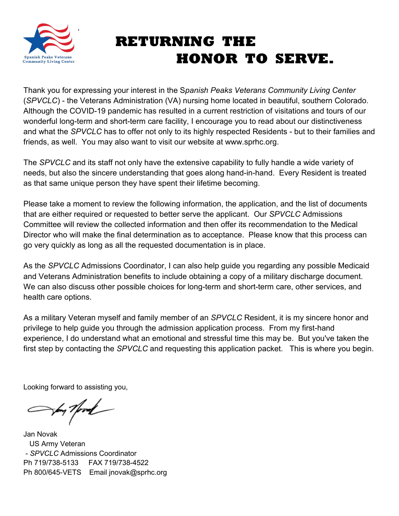

# **RETURNING THE HONOR TO SERVE.**

Thank you for expressing your interest in the S*panish Peaks Veterans Community Living Center*  (*SPVCLC*) - the Veterans Administration (VA) nursing home located in beautiful, southern Colorado. Although the COVID-19 pandemic has resulted in a current restriction of visitations and tours of our wonderful long-term and short-term care facility, I encourage you to read about our distinctiveness and what the *SPVCLC* has to offer not only to its highly respected Residents - but to their families and friends, as well. You may also want to visit our website at www.sprhc.org.

The *SPVCLC* and its staff not only have the extensive capability to fully handle a wide variety of needs, but also the sincere understanding that goes along hand-in-hand. Every Resident is treated as that same unique person they have spent their lifetime becoming.

Please take a moment to review the following information, the application, and the list of documents that are either required or requested to better serve the applicant. Our *SPVCLC* Admissions Committee will review the collected information and then offer its recommendation to the Medical Director who will make the final determination as to acceptance. Please know that this process can go very quickly as long as all the requested documentation is in place.

As the *SPVCLC* Admissions Coordinator, I can also help guide you regarding any possible Medicaid and Veterans Administration benefits to include obtaining a copy of a military discharge document. We can also discuss other possible choices for long-term and short-term care, other services, and health care options.

As a military Veteran myself and family member of an *SPVCLC* Resident, it is my sincere honor and privilege to help guide you through the admission application process. From my first-hand experience, I do understand what an emotional and stressful time this may be. But you've taken the first step by contacting the *SPVCLC* and requesting this application packet. This is where you begin.

Looking forward to assisting you,

Son Nord

Jan Novak US Army Veteran - *SPVCLC* Admissions Coordinator Ph 719/738-5133 FAX 719/738-4522 Ph 800/645-VETS Email jnovak@sprhc.org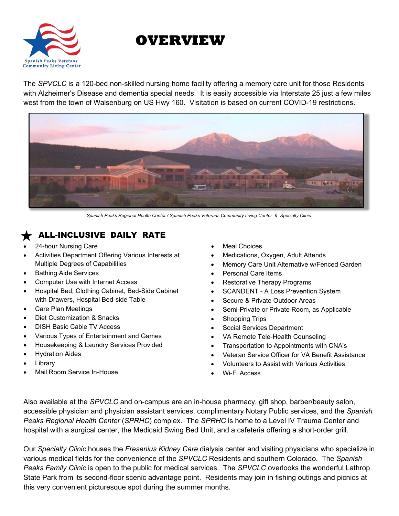

## **OVERVIEW**

The *SPVCLC* is a 120-bed non-skilled nursing home facility offering a memory care unit for those Residents with Alzheimer's Disease and dementia special needs. It is easily accessible via Interstate 25 just a few miles west from the town of Walsenburg on US Hwy 160. Visitation is based on current COVID-19 restrictions.



*Spanish Peaks Regional Health Center / Spanish Peaks Veterans Community Living Center & Specialty Clinic*

## ALL-INCLUSIVE DAILY RATE

- 24-hour Nursing Care
- Activities Department Offering Various Interests at Multiple Degrees of Capabilities
- Bathing Aide Services
- Computer Use with Internet Access
- Hospital Bed, Clothing Cabinet, Bed-Side Cabinet with Drawers, Hospital Bed-side Table
- Care Plan Meetings
- Diet Customization & Snacks
- DISH Basic Cable TV Access
- Various Types of Entertainment and Games
- Housekeeping & Laundry Services Provided
- **Hydration Aides**
- **Library**
- Mail Room Service In-House
- **Meal Choices**
- Medications, Oxygen, Adult Attends
- Memory Care Unit Alternative w/Fenced Garden
- Personal Care Items
- Restorative Therapy Programs
- SCANDENT A Loss Prevention System
- Secure & Private Outdoor Areas
- Semi-Private or Private Room, as Applicable
- Shopping Trips
- Social Services Department
- VA Remote Tele-Health Counseling
- Transportation to Appointments with CNA's
- Veteran Service Officer for VA Benefit Assistance
- Volunteers to Assist with Various Activities
- Wi-Fi Access

Also available at the *SPVCLC* and on-campus are an in-house pharmacy, gift shop, barber/beauty salon, accessible physician and physician assistant services, complimentary Notary Public services, and the *Spanish Peaks Regional Health Center* (*SPRHC*) complex. The *SPRHC* is home to a Level IV Trauma Center and hospital with a surgical center, the Medicaid Swing Bed Unit, and a cafeteria offering a short-order grill.

Our *Specialty Clinic* houses the *Fresenius Kidney Care* dialysis center and visiting physicians who specialize in various medical fields for the convenience of the *SPVCLC* Residents and southern Colorado. The *Spanish Peaks Family Clinic* is open to the public for medical services. The *SPVCLC* overlooks the wonderful Lathrop State Park from its second-floor scenic advantage point. Residents may join in fishing outings and picnics at this very convenient picturesque spot during the summer months.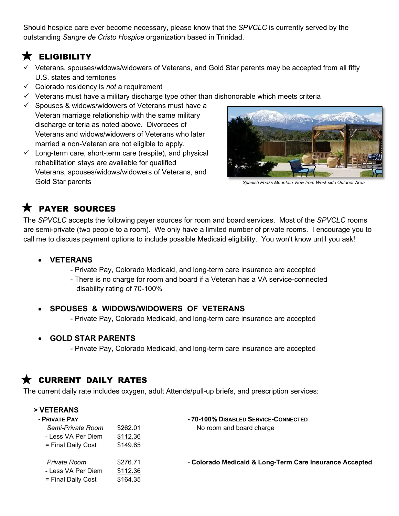Should hospice care ever become necessary, please know that the *SPVCLC* is currently served by the outstanding *Sangre de Cristo Hospice* organization based in Trinidad.

## $\bigstar$  eligibility

- $\checkmark$  Veterans, spouses/widows/widowers of Veterans, and Gold Star parents may be accepted from all fifty U.S. states and territories
- Colorado residency is *not* a requirement
- $\checkmark$  Veterans must have a military discharge type other than dishonorable which meets criteria
- $\checkmark$  Spouses & widows/widowers of Veterans must have a Veteran marriage relationship with the same military discharge criteria as noted above. Divorcees of Veterans and widows/widowers of Veterans who later married a non-Veteran are not eligible to apply.
- $\checkmark$  Long-term care, short-term care (respite), and physical rehabilitation stays are available for qualified Veterans, spouses/widows/widowers of Veterans, and Gold Star parents *Spanish Peaks Mountain View from West-side Outdoor Area*



## $\bigstar$  payer sources

The *SPVCLC* accepts the following payer sources for room and board services. Most of the *SPVCLC* rooms are semi-private (two people to a room). We only have a limited number of private rooms. I encourage you to call me to discuss payment options to include possible Medicaid eligibility. You won't know until you ask!

## • **VETERANS**

- Private Pay, Colorado Medicaid, and long-term care insurance are accepted
- There is no charge for room and board if a Veteran has a VA service-connected disability rating of 70-100%

## • **SPOUSES & WIDOWS/WIDOWERS OF VETERANS**

- Private Pay, Colorado Medicaid, and long-term care insurance are accepted

## • **GOLD STAR PARENTS**

- Private Pay, Colorado Medicaid, and long-term care insurance are accepted

## CURRENT DAILY RATES

The current daily rate includes oxygen, adult Attends/pull-up briefs, and prescription services:

| > VETERANS         |          |                                                         |
|--------------------|----------|---------------------------------------------------------|
| - PRIVATE PAY      |          | - 70-100% DISABLED SERVICE-CONNECTED                    |
| Semi-Private Room  | \$262.01 | No room and board charge                                |
| - Less VA Per Diem | \$112.36 |                                                         |
| = Final Daily Cost | \$149.65 |                                                         |
| Private Room       | \$276.71 | - Colorado Medicaid & Long-Term Care Insurance Accepted |
| - Less VA Per Diem | \$112.36 |                                                         |
| = Final Daily Cost | \$164.35 |                                                         |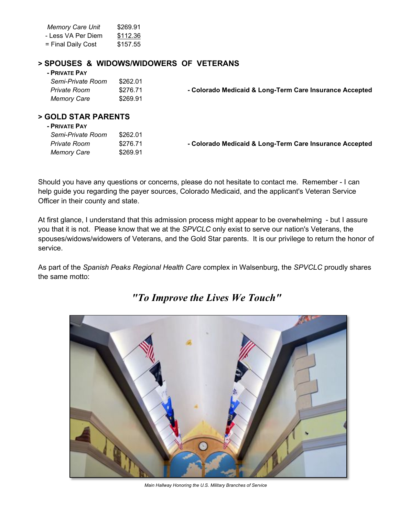| <b>Memory Care Unit</b> | \$269.91 |
|-------------------------|----------|
| - Less VA Per Diem      | \$112.36 |
| = Final Daily Cost      | \$157.55 |

#### **> SPOUSES & WIDOWS/WIDOWERS OF VETERANS**

#### **- PRIVATE PAY**

| Semi-Private Room  | \$262.01 |                                                         |
|--------------------|----------|---------------------------------------------------------|
| Private Room       | \$276.71 | - Colorado Medicaid & Long-Term Care Insurance Accepted |
| <b>Memory Care</b> | \$269.91 |                                                         |

## **> GOLD STAR PARENTS**

| - PRIVATE PAY     |          |                                                         |
|-------------------|----------|---------------------------------------------------------|
| Semi-Private Room | \$262.01 |                                                         |
| Private Room      | \$276.71 | - Colorado Medicaid & Long-Term Care Insurance Accepted |
| Memory Care       | \$269.91 |                                                         |

Should you have any questions or concerns, please do not hesitate to contact me. Remember - I can help guide you regarding the payer sources, Colorado Medicaid, and the applicant's Veteran Service Officer in their county and state.

At first glance, I understand that this admission process might appear to be overwhelming - but I assure you that it is not. Please know that we at the *SPVCLC* only exist to serve our nation's Veterans, the spouses/widows/widowers of Veterans, and the Gold Star parents. It is our privilege to return the honor of service.

As part of the *Spanish Peaks Regional Health Care* complex in Walsenburg, the *SPVCLC* proudly shares the same motto:



*"To Improve the Lives We Touch"*

*Main Hallway Honoring the U.S. Military Branches of Service*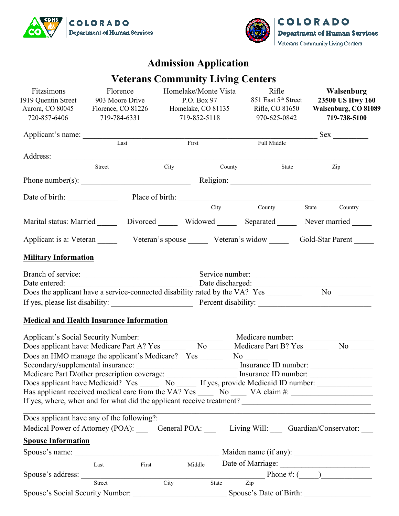



## **Admission Application**

## **Veterans Community Living Centers**

| Fitzsimons<br>1919 Quentin Street<br>Aurora, CO 80045<br>720-857-6406                                          | Florence<br>903 Moore Drive<br>Florence, CO 81226 Homelake, CO 81135<br>719-784-6331 | Homelake/Monte Vista<br>P.O. Box 97<br>719-852-5118 | Rifle<br>851 East 5 <sup>th</sup> Street<br>Rifle, CO 81650<br>970-625-0842 |       |     | Walsenburg<br>23500 US Hwy 160<br>Walsenburg, CO 81089<br>719-738-5100 |
|----------------------------------------------------------------------------------------------------------------|--------------------------------------------------------------------------------------|-----------------------------------------------------|-----------------------------------------------------------------------------|-------|-----|------------------------------------------------------------------------|
| Applicant's name:                                                                                              |                                                                                      |                                                     |                                                                             |       |     | Sex                                                                    |
|                                                                                                                | Last                                                                                 | First                                               | Full Middle                                                                 |       |     |                                                                        |
|                                                                                                                |                                                                                      |                                                     |                                                                             |       |     |                                                                        |
|                                                                                                                | Street                                                                               | City County                                         |                                                                             | State | Zip |                                                                        |
| Phone number(s): $\qquad \qquad$ Religion: $\qquad \qquad$                                                     |                                                                                      |                                                     |                                                                             |       |     |                                                                        |
| Date of birth: Place of birth: Place of birth:                                                                 |                                                                                      |                                                     |                                                                             |       |     |                                                                        |
|                                                                                                                |                                                                                      |                                                     | City County State Country                                                   |       |     |                                                                        |
| Marital status: Married _______ Divorced _______ Widowed _______ Separated ______ Never married _____          |                                                                                      |                                                     |                                                                             |       |     |                                                                        |
| Applicant is a: Veteran _______ Veteran's spouse _____ Veteran's widow _____ Gold-Star Parent _____            |                                                                                      |                                                     |                                                                             |       |     |                                                                        |
| <b>Military Information</b>                                                                                    |                                                                                      |                                                     |                                                                             |       |     |                                                                        |
|                                                                                                                |                                                                                      |                                                     | Service number:                                                             |       |     |                                                                        |
| Date entered:                                                                                                  |                                                                                      |                                                     | Date discharged:                                                            |       |     |                                                                        |
|                                                                                                                |                                                                                      |                                                     |                                                                             |       |     |                                                                        |
|                                                                                                                |                                                                                      |                                                     |                                                                             |       |     |                                                                        |
| <b>Medical and Health Insurance Information</b>                                                                |                                                                                      |                                                     |                                                                             |       |     |                                                                        |
|                                                                                                                |                                                                                      |                                                     | Medicare number:                                                            |       |     |                                                                        |
| Does applicant have: Medicare Part A? Yes ______                                                               |                                                                                      |                                                     | No Medicare Part B? Yes No No No                                            |       |     |                                                                        |
| Does an HMO manage the applicant's Medicare? Yes ______                                                        |                                                                                      |                                                     | $\overline{\text{No}}$                                                      |       |     |                                                                        |
| Secondary/supplemental insurance: ___________________________________ Insurance ID number: ___________________ |                                                                                      |                                                     |                                                                             |       |     |                                                                        |
| Medicare Part D/other prescription coverage:                                                                   |                                                                                      |                                                     | Insurance ID number:                                                        |       |     |                                                                        |
| Does applicant have Medicaid? Yes No The Street Higgs, provide Medicaid ID number:                             |                                                                                      |                                                     |                                                                             |       |     |                                                                        |
| Has applicant received medical care from the VA? Yes _______ No ______ VA claim #: _________________           |                                                                                      |                                                     |                                                                             |       |     |                                                                        |
|                                                                                                                |                                                                                      |                                                     |                                                                             |       |     |                                                                        |
| Does applicant have any of the following?:                                                                     |                                                                                      |                                                     |                                                                             |       |     |                                                                        |
| Medical Power of Attorney (POA): General POA: Living Will: Guardian/Conservator: __                            |                                                                                      |                                                     |                                                                             |       |     |                                                                        |
| <b>Spouse Information</b>                                                                                      |                                                                                      |                                                     |                                                                             |       |     |                                                                        |
|                                                                                                                |                                                                                      |                                                     |                                                                             |       |     |                                                                        |
|                                                                                                                | Last                                                                                 |                                                     | First Middle Date of Marriage: 1998.                                        |       |     |                                                                        |
|                                                                                                                |                                                                                      |                                                     |                                                                             |       |     |                                                                        |
|                                                                                                                | Street                                                                               | City State                                          | Zip                                                                         |       |     |                                                                        |
| Spouse's Social Security Number:                                                                               |                                                                                      |                                                     | Spouse's Date of Birth:                                                     |       |     |                                                                        |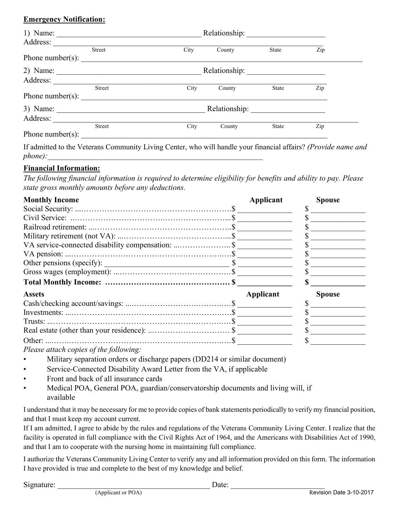## **Emergency Notification:**

| 1) Name:                                                 | <u> 1989 - Johann John Stein, mars an deutscher Stein († 1951)</u> |               |              |     |  |
|----------------------------------------------------------|--------------------------------------------------------------------|---------------|--------------|-----|--|
| Address:                                                 |                                                                    |               |              |     |  |
| <b>Street</b><br>Phone number(s): $\qquad \qquad \qquad$ | City                                                               | County        | <b>State</b> | Zip |  |
| $2)$ Name:                                               |                                                                    |               |              |     |  |
| Address:<br>Street                                       | City                                                               | County        | State        | Zip |  |
| Phone number(s):<br>3) Name: $\frac{1}{2}$               |                                                                    | Relationship: |              |     |  |
| Address:                                                 |                                                                    |               |              |     |  |
| <b>Street</b><br>Phone number(s):                        | City                                                               | County        | <b>State</b> | Zip |  |

If admitted to the Veterans Community Living Center, who will handle your financial affairs? *(Provide name and phone*):

## **Financial Information:**

*The following financial information is required to determine eligibility for benefits and ability to pay. Please state gross monthly amounts before any deductions.*

| <b>Monthly Income</b>                                                                                                                                                                                                       | Applicant | <b>Spouse</b> |
|-----------------------------------------------------------------------------------------------------------------------------------------------------------------------------------------------------------------------------|-----------|---------------|
|                                                                                                                                                                                                                             |           |               |
|                                                                                                                                                                                                                             |           |               |
|                                                                                                                                                                                                                             |           |               |
|                                                                                                                                                                                                                             |           |               |
| VA service-connected disability compensation:  \$                                                                                                                                                                           |           |               |
|                                                                                                                                                                                                                             |           |               |
| Other pensions (specify): $\frac{1}{2}$                                                                                                                                                                                     |           |               |
|                                                                                                                                                                                                                             |           |               |
|                                                                                                                                                                                                                             |           |               |
| <b>Assets</b>                                                                                                                                                                                                               | Applicant | <b>Spouse</b> |
|                                                                                                                                                                                                                             |           |               |
|                                                                                                                                                                                                                             |           |               |
|                                                                                                                                                                                                                             |           |               |
|                                                                                                                                                                                                                             |           |               |
|                                                                                                                                                                                                                             |           |               |
| $D_1$ and $D_2$ and $D_3$ and $D_4$ and $D_5$ and $D_6$ and $D_7$ and $D_8$ and $D_7$ and $D_8$ and $D_8$ and $D_9$ and $D_9$ and $D_9$ and $D_9$ and $D_9$ and $D_9$ and $D_9$ and $D_9$ and $D_9$ and $D_9$ and $D_9$ and |           |               |

*Please attach copies of the following:*

- Military separation orders or discharge papers (DD214 or similar document)
- Service-Connected Disability Award Letter from the VA, if applicable
- Front and back of all insurance cards
- Medical POA, General POA, guardian/conservatorship documents and living will, if available

I understand that it may be necessary for me to provide copies of bank statements periodically to verify my financial position, and that I must keep my account current.

If I am admitted, I agree to abide by the rules and regulations of the Veterans Community Living Center. I realize that the facility is operated in full compliance with the Civil Rights Act of 1964, and the Americans with Disabilities Act of 1990, and that I am to cooperate with the nursing home in maintaining full compliance.

I authorize the Veterans Community Living Center to verify any and all information provided on this form. The information I have provided is true and complete to the best of my knowledge and belief.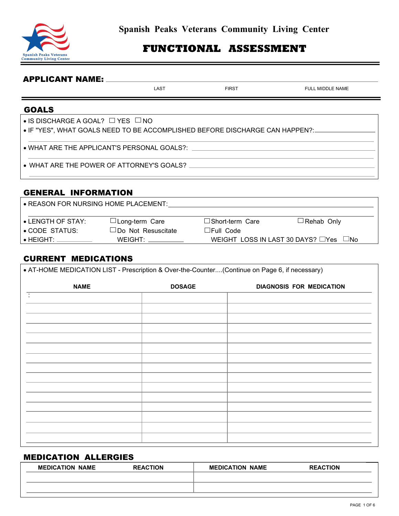

## **FUNCTIONAL ASSESSMENT**

#### APPLICANT NAME:

LAST FIRST FIRST FULL MIDDLE NAME

#### GOALS

 $\bullet$  IS DISCHARGE A GOAL?  $\Box$  YES  $\Box$  NO

• IF "YES", WHAT GOALS NEED TO BE ACCOMPLISHED BEFORE DISCHARGE CAN HAPPEN?:

• WHAT ARE THE APPLICANT'S PERSONAL GOALS?:

• WHAT ARE THE POWER OF ATTORNEY'S GOALS?  $\_\_$ 

#### GENERAL INFORMATION

| • REASON FOR NURSING HOME PLACEMENT: |                           |                                                   |                   |  |
|--------------------------------------|---------------------------|---------------------------------------------------|-------------------|--|
| $\bullet$ LENGTH OF STAY:            | $\Box$ Long-term Care     | $\square$ Short-term Care                         | $\Box$ Rehab Only |  |
| $\bullet$ CODE STATUS:               | $\Box$ Do Not Resuscitate | $\Box$ Full Code                                  |                   |  |
| $\bullet$ HEIGHT: $\degree$          | WEIGHT:                   | WEIGHT LOSS IN LAST 30 DAYS? $\Box$ Yes $\Box$ No |                   |  |

#### CURRENT MEDICATIONS

| • AT-HOME MEDICATION LIST - Prescription & Over-the-Counter(Continue on Page 6, if necessary) |               |                                 |  |
|-----------------------------------------------------------------------------------------------|---------------|---------------------------------|--|
| <b>NAME</b>                                                                                   | <b>DOSAGE</b> | <b>DIAGNOSIS FOR MEDICATION</b> |  |
| ÷                                                                                             |               |                                 |  |
|                                                                                               |               |                                 |  |
|                                                                                               |               |                                 |  |
|                                                                                               |               |                                 |  |
|                                                                                               |               |                                 |  |
|                                                                                               |               |                                 |  |
|                                                                                               |               |                                 |  |
|                                                                                               |               |                                 |  |
|                                                                                               |               |                                 |  |
|                                                                                               |               |                                 |  |
|                                                                                               |               |                                 |  |
|                                                                                               |               |                                 |  |
|                                                                                               |               |                                 |  |

#### MEDICATION ALLERGIES

| <b>MEDICATION NAME</b> | <b>REACTION</b> | <b>MEDICATION NAME</b> | <b>REACTION</b> |
|------------------------|-----------------|------------------------|-----------------|
|                        |                 |                        |                 |
|                        |                 |                        |                 |

İ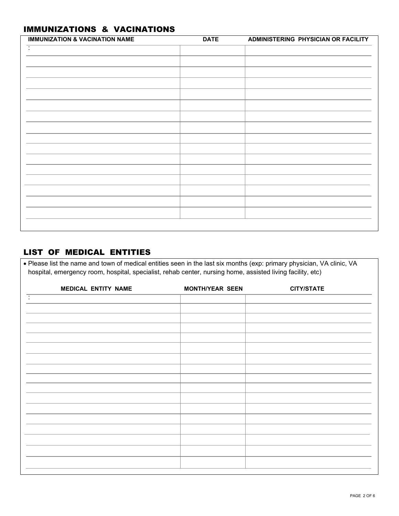## IMMUNIZATIONS & VACINATIONS

| <b>DATE</b> | ADMINISTERING PHYSICIAN OR FACILITY |
|-------------|-------------------------------------|
|             |                                     |
|             |                                     |
|             |                                     |
|             |                                     |
|             |                                     |
|             |                                     |
|             |                                     |
|             |                                     |
|             |                                     |
|             |                                     |
|             |                                     |
|             |                                     |
|             |                                     |
|             |                                     |
|             |                                     |
|             |                                     |
|             |                                     |
|             |                                     |
|             |                                     |
|             |                                     |

## LIST OF MEDICAL ENTITIES

• Please list the name and town of medical entities seen in the last six months (exp: primary physician, VA clinic, VA hospital, emergency room, hospital, specialist, rehab center, nursing home, assisted living facility, etc)

| <b>MEDICAL ENTITY NAME</b> | <b>MONTH/YEAR SEEN</b> | <b>CITY/STATE</b> |
|----------------------------|------------------------|-------------------|
| Ξ                          |                        |                   |
|                            |                        |                   |
|                            |                        |                   |
|                            |                        |                   |
|                            |                        |                   |
|                            |                        |                   |
|                            |                        |                   |
|                            |                        |                   |
|                            |                        |                   |
|                            |                        |                   |
|                            |                        |                   |
|                            |                        |                   |
|                            |                        |                   |
|                            |                        |                   |
|                            |                        |                   |
|                            |                        |                   |
|                            |                        |                   |
|                            |                        |                   |
|                            |                        |                   |
|                            |                        |                   |
|                            |                        |                   |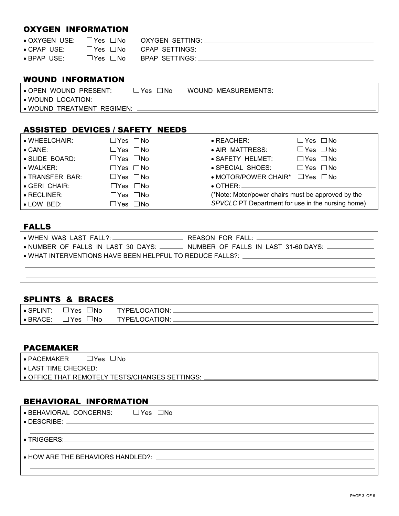## OXYGEN INFORMATION

| $\bullet$ OXYGEN USE: | $\square$ Yes $\square$ No | OXYGEN SETTING:                     |
|-----------------------|----------------------------|-------------------------------------|
| $\bullet$ CPAP USE:   |                            | $\Box$ Yes $\Box$ No CPAP SETTINGS: |
| $\bullet$ BPAP USE:   | $\Box$ Yes $\Box$ No       | BPAP SETTINGS:                      |

## WOUND INFORMATION

| $\bullet$ OPEN WOUND PRESENT: | $\neg$ Yes<br>∃No | WOUND MEASUREMENTS: |
|-------------------------------|-------------------|---------------------|
| • WOUND LOCATION:             |                   |                     |
| • WOUND TREATMENT REGIMEN:    |                   |                     |

#### ASSISTED DEVICES / SAFETY NEEDS

| $\bullet$ WHEELCHAIR:   | $\Box$ Yes $\Box$ No | $\bullet$ REACHER:                                 | $\Box$ Yes $\Box$ No |
|-------------------------|----------------------|----------------------------------------------------|----------------------|
| $\bullet$ CANE:         | $\Box$ Yes $\Box$ No | • AIR MATTRESS:                                    | $\Box$ Yes $\Box$ No |
| SLIDE BOARD:            | $\Box$ Yes $\Box$ No | • SAFETY HELMET:                                   | $\Box$ Yes $\Box$ No |
| $\bullet$ WALKER:       | $\Box$ Yes $\Box$ No | • SPECIAL SHOES:                                   | $\Box$ Yes $\Box$ No |
| <b>OF TRANSFER BAR:</b> | $\Box$ Yes $\Box$ No | $\bullet$ MOTOR/POWER CHAIR* $\Box$ Yes $\Box$ No  |                      |
| GERI CHAIR:             | $\Box$ Yes $\Box$ No |                                                    |                      |
| $\bullet$ RECLINER:     | $\Box$ Yes $\Box$ No | (*Note: Motor/power chairs must be approved by the |                      |
| $\bullet$ LOW BED:      | $\Box$ Yes $\Box$ No | SPVCLC PT Department for use in the nursing home)  |                      |

## FALLS

| $\bullet$ NUMBER OF FALLS IN LAST 30 DAYS: _______ NUMBER OF FALLS IN LAST 31-60 DAYS: ____________ |
|-----------------------------------------------------------------------------------------------------|
| $\bullet$ WHAT INTERVENTIONS HAVE BEEN HELPFUL TO REDUCE FALLS?: $\_\_$                             |
|                                                                                                     |
|                                                                                                     |

## SPLINTS & BRACES

| $\bullet$ SPLINT: | $^{\neg}$ Yes<br>⊐No     | <b>TYPE/LOCATION:</b> |
|-------------------|--------------------------|-----------------------|
| $\bullet$ BRACE:  | ⊐No<br>$\neg$ Yes $\neg$ | <b>TYPE/LOCATION:</b> |
|                   |                          |                       |

#### PACEMAKER

| $\bullet$ PACEMAKER    | $\Box$ Yes $\Box$ No                           |
|------------------------|------------------------------------------------|
| ∣ • LAST TIME CHECKED: |                                                |
|                        | ● OFFICE THAT REMOTELY TESTS/CHANGES SETTINGS: |

## BEHAVIORAL INFORMATION

| $\bullet$ BEHAVIORAL CONCERNS: $\Box$ Yes $\Box$ No<br>$\bullet$ DESCRIBE: $\_\_$ |  |
|-----------------------------------------------------------------------------------|--|
| $\bullet$ TRIGGERS:                                                               |  |
| • HOW ARE THE BEHAVIORS HANDLED?:                                                 |  |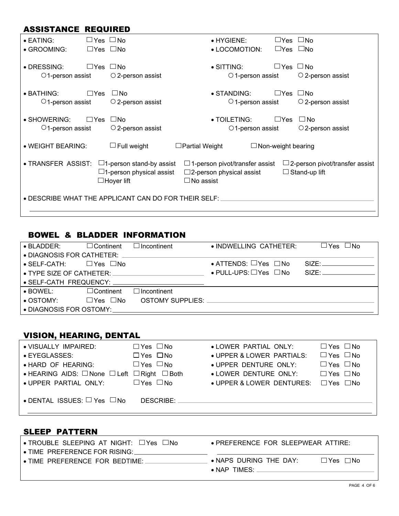## ASSISTANCE REQUIRED

| $\bullet$ EATING:<br>· GROOMING:                     | $\Box$ Yes $\Box$ No<br>$\Box$ Yes $\Box$ No |                                                                                            |                       | $\bullet$ HYGIENE:<br>• LOCOMOTION:                                         |                           | $\sqcup$ Yes $\sqcup$ No<br>$\Box$ Yes $\Box$ No |                                                                  |
|------------------------------------------------------|----------------------------------------------|--------------------------------------------------------------------------------------------|-----------------------|-----------------------------------------------------------------------------|---------------------------|--------------------------------------------------|------------------------------------------------------------------|
| • DRESSING:<br>$\bigcirc$ 1-person assist            | $\Box$ Yes $\Box$ No                         | $\circ$ 2-person assist                                                                    |                       | $\bullet$ SITTING:<br>$\circ$ 1-person assist                               |                           | $\Box$ Yes $\Box$ No                             | $\circ$ 2-person assist                                          |
| $\bullet$ BATHING:<br>$\circ$ 1-person assist        | $\square$ Yes                                | $\square$ No<br>$\circ$ 2-person assist                                                    |                       | $\bullet$ STANDING:<br>$\circ$ 1-person assist                              |                           | $\Box$ Yes                                       | $\Box$ No<br>$\circ$ 2-person assist                             |
| $\bullet$ SHOWERING:<br>$\circ$ 1-person assist      | $\square$ Yes                                | ⊟No<br>$\circ$ 2-person assist                                                             |                       | $\bullet$ TOILETING:<br>$\bigcirc$ 1-person assist                          |                           | $\sqcup$ Yes                                     | $\Box$ No<br>$\bigcirc$ 2-person assist                          |
| · WEIGHT BEARING:                                    |                                              | $\Box$ Full weight                                                                         | $\Box$ Partial Weight |                                                                             | $\Box$ Non-weight bearing |                                                  |                                                                  |
| • TRANSFER ASSIST:                                   |                                              | $\Box$ 1-person stand-by assist<br>$\square$ 1-person physical assist<br>$\Box$ Hoyer lift | $\Box$ No assist      | $\Box$ 1-person pivot/transfer assist<br>$\square$ 2-person physical assist |                           |                                                  | $\square$ 2-person pivot/transfer assist<br>$\Box$ Stand-up lift |
| . DESCRIBE WHAT THE APPLICANT CAN DO FOR THEIR SELF: |                                              |                                                                                            |                       |                                                                             |                           |                                                  |                                                                  |

## BOWEL & BLADDER INFORMATION

| $\bullet$ BLADDER:                         | $\Box$ Continent        | $\Box$ Incontinent | • INDWELLING CATHETER:                         | $\Box$ Yes $\Box$ No |  |  |  |  |
|--------------------------------------------|-------------------------|--------------------|------------------------------------------------|----------------------|--|--|--|--|
| • DIAGNOSIS FOR CATHETER:                  |                         |                    |                                                |                      |  |  |  |  |
| $\bullet$ SELF-CATH: $\Box$ Yes $\Box$ No  |                         |                    | $\bullet$ ATTENDS: $\Box$ Yes $\Box$ No        | SIZE:                |  |  |  |  |
| $\bullet$ TYPE SIZE OF CATHETER: $\bullet$ |                         |                    | $\bullet$ PULL-UPS: $\square$ Yes $\square$ No | SIZF                 |  |  |  |  |
|                                            |                         |                    |                                                |                      |  |  |  |  |
| $\bullet$ BOWEL:                           | $\Box$ Continent        | $\Box$ Incontinent |                                                |                      |  |  |  |  |
| $\bullet$ OSTOMY:                          | $\Box$ Yes $\Box$ No    | OSTOMY SUPPLIES:   |                                                |                      |  |  |  |  |
|                                            | • DIAGNOSIS FOR OSTOMY: |                    |                                                |                      |  |  |  |  |

## VISION, HEARING, DENTAL

| • VISUALLY IMPAIRED:<br>● EYEGLASSES:<br>• HARD OF HEARING:<br>• HEARING AIDS: $\Box$ None $\Box$ Left $\Box$ Right $\Box$ Both | $\Box$ Yes $\Box$ No<br>$\Box$ Yes $\Box$ No<br>$\Box$ Yes $\Box$ No | • LOWER PARTIAL ONLY:<br>• UPPER & LOWER PARTIALS:<br>· UPPER DENTURE ONLY:<br>• LOWER DENTURE ONLY: | $\Box$ Yes $\Box$ No<br>$\Box$ Yes $\Box$ No<br>$\Box$ Yes $\Box$ No<br>$\Box$ Yes $\Box$ No |
|---------------------------------------------------------------------------------------------------------------------------------|----------------------------------------------------------------------|------------------------------------------------------------------------------------------------------|----------------------------------------------------------------------------------------------|
| · UPPER PARTIAL ONLY:<br>$\bullet$ DENTAL ISSUES: $\Box$ Yes $\Box$ No                                                          | $\Box$ Yes $\Box$ No<br>DESCRIBE:                                    | • UPPER & LOWER DENTURES: □ Yes □ No                                                                 |                                                                                              |

#### SLEEP PATTERN

| $\mid$ • TROUBLE SLEEPING AT NIGHT: $\Box$ Yes $\Box$ No | • PREFERENCE FOR SLEEPWEAR ATTIRE: |          |
|----------------------------------------------------------|------------------------------------|----------|
| $\,$ • TIME $\,$ PREFERENCE FOR RISING: $\,$             |                                    |          |
| I • TIME PREFERENCE FOR BEDTIME:                         | $\bullet$ NAPS DURING THE DAY:     | ∐Yes ⊡No |
|                                                          | $\bullet$ NAP TIMES:               |          |
|                                                          |                                    |          |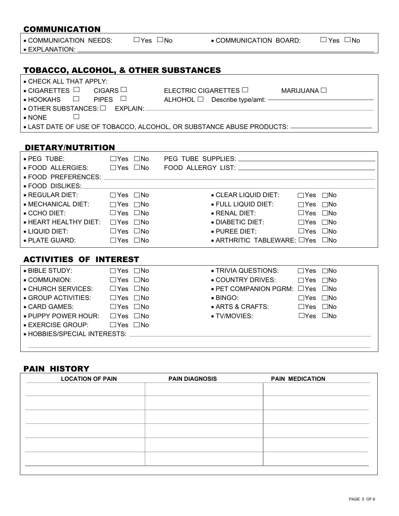| <b>COMMUNICATION</b>                                                                                                                                    |                      |                      |                                                           |                      |  |
|---------------------------------------------------------------------------------------------------------------------------------------------------------|----------------------|----------------------|-----------------------------------------------------------|----------------------|--|
| • COMMUNICATION NEEDS: $\Box$ Yes $\Box$ No $\Box$ COMMUNICATION BOARD: $\Box$ Yes $\Box$ No                                                            |                      |                      |                                                           |                      |  |
| · EXPLANATION: ____________                                                                                                                             |                      |                      |                                                           |                      |  |
|                                                                                                                                                         |                      |                      |                                                           |                      |  |
| TOBACCO, ALCOHOL, & OTHER SUBSTANCES                                                                                                                    |                      |                      |                                                           |                      |  |
| • CHECK ALL THAT APPLY:                                                                                                                                 |                      |                      |                                                           |                      |  |
| $\bullet$ CIGARETTES $\Box$ CIGARS $\Box$ ELECTRIC CIGARETTES $\Box$ MARIJUANA $\Box$<br>• HOOKAHS □ PIPES □ ALHOHOL □ Describe type/amt: ————————————— |                      |                      |                                                           |                      |  |
| $\bullet$ OTHER SUBSTANCES: $\square$ EXPLAIN: $\_\_$                                                                                                   |                      |                      |                                                           |                      |  |
| $\bullet$ NONE $\qquad \Box$                                                                                                                            |                      |                      |                                                           |                      |  |
| • LAST DATE OF USE OF TOBACCO, ALCOHOL, OR SUBSTANCE ABUSE PRODUCTS: ______________________________                                                     |                      |                      |                                                           |                      |  |
|                                                                                                                                                         |                      |                      |                                                           |                      |  |
| <b>DIETARY/NUTRITION</b>                                                                                                                                |                      |                      |                                                           |                      |  |
| ● PEG TUBE:       □ Yes □No PEG TUBE SUPPLIES: _________________________________                                                                        |                      |                      |                                                           |                      |  |
| ● FOOD ALLERGIES: □ Yes □No FOOD ALLERGY LIST: □ □ □ □ □ □ □ □ □ □ □ □ □ □ □ □ □                                                                        |                      |                      |                                                           |                      |  |
|                                                                                                                                                         |                      |                      |                                                           |                      |  |
| · FOOD DISLIKES:___________                                                                                                                             |                      |                      |                                                           |                      |  |
| <b>• REGULAR DIET:</b>                                                                                                                                  |                      | $\Box$ Yes $\Box$ No | ● CLEAR LIQUID DIET: □ Yes □ No                           |                      |  |
| $\bullet$ MECHANICAL DIET: $\Box$ Yes $\Box$ No                                                                                                         |                      |                      | ● FULL LIQUID DIET: □ Yes □No                             |                      |  |
| $\bullet$ CCHO DIET: $\Box$ Yes $\Box$ No                                                                                                               |                      |                      | $\bullet$ RENAL DIET: $\qquad \qquad \Box$ Yes $\Box$ No  |                      |  |
| • HEART HEALTHY DIET: □ Yes □ No                                                                                                                        |                      |                      | ● DIABETIC DIET: □ Yes □No                                |                      |  |
| $\bullet$ LIQUID DIET: $\Box$ Yes $\Box$ No                                                                                                             |                      |                      | $\bullet$ PUREE DIET: $\qquad \qquad \Box$ Yes $\Box$ No  |                      |  |
| $\bullet$ PLATE GUARD: $\Box$ Yes $\Box$ No                                                                                                             |                      |                      | $\bullet$ ARTHRITIC TABLEWARE: $\square$ Yes $\square$ No |                      |  |
| <b>ACTIVITIES OF INTEREST</b>                                                                                                                           |                      |                      |                                                           |                      |  |
| ● BIBLE STUDY: $□ Yes □ No$                                                                                                                             |                      |                      | • TRIVIA QUESTIONS: □ Yes □No                             |                      |  |
| • COMMUNION:                                                                                                                                            | $\Box$ Yes $\Box$ No |                      | • COUNTRY DRIVES: □ Yes □ No                              |                      |  |
| • CHURCH SERVICES: □ Yes □ No                                                                                                                           |                      |                      | $\bullet$ PET COMPANION PGRM: $\Box$ Yes $\Box$ No        |                      |  |
| • GROUP ACTIVITIES: □ Yes □ No                                                                                                                          |                      |                      | $\bullet$ BINGO:<br>$\Box$ Yes $\Box$ No                  |                      |  |
| • CARD GAMES:                                                                                                                                           | $\Box$ Yes $\Box$ No |                      | $\bullet$ ARTS & CRAFTS: $\Box$ Yes $\Box$ No             |                      |  |
| • PUPPY POWER HOUR: □ Yes □ No                                                                                                                          |                      |                      | · TV/MOVIES:                                              | $\Box$ Yes $\Box$ No |  |
| • EXERCISE GROUP: □ Yes □ No                                                                                                                            |                      |                      |                                                           |                      |  |
| • HOBBIES/SPECIAL INTERESTS: _                                                                                                                          |                      |                      |                                                           |                      |  |

## PAIN HISTORY

l

| <b>LOCATION OF PAIN</b> | <b>PAIN DIAGNOSIS</b> | <b>PAIN MEDICATION</b> |
|-------------------------|-----------------------|------------------------|
|                         |                       |                        |
|                         |                       |                        |
|                         |                       |                        |
|                         |                       |                        |
|                         |                       |                        |
|                         |                       |                        |
|                         |                       |                        |
|                         |                       |                        |
|                         |                       |                        |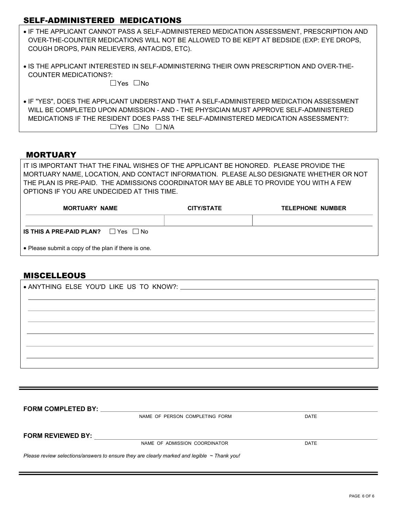### SELF-ADMINISTERED MEDICATIONS

- IF THE APPLICANT CANNOT PASS A SELF-ADMINISTERED MEDICATION ASSESSMENT, PRESCRIPTION AND OVER-THE-COUNTER MEDICATIONS WILL NOT BE ALLOWED TO BE KEPT AT BEDSIDE (EXP: EYE DROPS, COUGH DROPS, PAIN RELIEVERS, ANTACIDS, ETC).
- IS THE APPLICANT INTERESTED IN SELF-ADMINISTERING THEIR OWN PRESCRIPTION AND OVER-THE-COUNTER MEDICATIONS?:

 $\Box$ Yes  $\Box$ No

• IF "YES", DOES THE APPLICANT UNDERSTAND THAT A SELF-ADMINISTERED MEDICATION ASSESSMENT WILL BE COMPLETED UPON ADMISSION - AND - THE PHYSICIAN MUST APPROVE SELF-ADMINISTERED MEDICATIONS IF THE RESIDENT DOES PASS THE SELF-ADMINISTERED MEDICATION ASSESSMENT?:  $\Box$ Yes  $\Box$  No  $\Box$  N/A

#### **MORTUARY**

IT IS IMPORTANT THAT THE FINAL WISHES OF THE APPLICANT BE HONORED. PLEASE PROVIDE THE MORTUARY NAME, LOCATION, AND CONTACT INFORMATION. PLEASE ALSO DESIGNATE WHETHER OR NOT THE PLAN IS PRE-PAID. THE ADMISSIONS COORDINATOR MAY BE ABLE TO PROVIDE YOU WITH A FEW OPTIONS IF YOU ARE UNDECIDED AT THIS TIME.

| <b>MORTUARY NAME</b>                                | <b>CITY/STATE</b> | <b>TELEPHONE NUMBER</b> |
|-----------------------------------------------------|-------------------|-------------------------|
|                                                     |                   |                         |
| IS THIS A PRE-PAID PLAN? $\Box$ Yes $\Box$ No       |                   |                         |
| • Please submit a copy of the plan if there is one. |                   |                         |

#### **MISCELLEOUS**

| <b>FORM COMPLETED BY:</b> |                                                                                                  |             |
|---------------------------|--------------------------------------------------------------------------------------------------|-------------|
|                           | NAME OF PERSON COMPLETING FORM                                                                   | DATE        |
| <b>FORM REVIEWED BY:</b>  |                                                                                                  |             |
|                           | NAME OF ADMISSION COORDINATOR                                                                    | <b>DATE</b> |
|                           | Please review selections/answers to ensure they are clearly marked and legible $\sim$ Thank you! |             |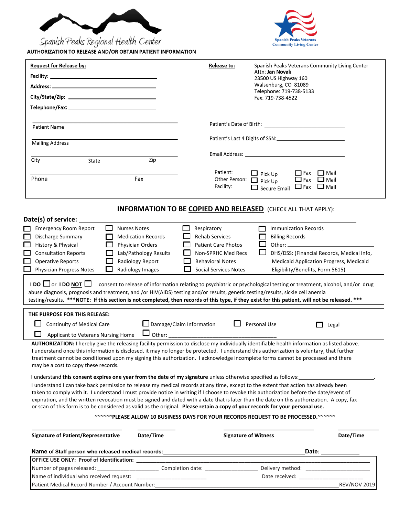

Spanish Peaks Regional Health Center



| <b>Request for Release by:</b>                                                                    |                                                                                                                 | <b>Release to:</b>                                  | Spanish Peaks Veterans Community Living Center                                                                                                                                                                                                                                                                                                                                                                                                |
|---------------------------------------------------------------------------------------------------|-----------------------------------------------------------------------------------------------------------------|-----------------------------------------------------|-----------------------------------------------------------------------------------------------------------------------------------------------------------------------------------------------------------------------------------------------------------------------------------------------------------------------------------------------------------------------------------------------------------------------------------------------|
|                                                                                                   |                                                                                                                 |                                                     | Attn: Jan Novak<br>23500 US Highway 160                                                                                                                                                                                                                                                                                                                                                                                                       |
|                                                                                                   |                                                                                                                 |                                                     | Walsenburg, CO 81089                                                                                                                                                                                                                                                                                                                                                                                                                          |
|                                                                                                   |                                                                                                                 |                                                     | Telephone: 719-738-5133<br>Fax: 719-738-4522                                                                                                                                                                                                                                                                                                                                                                                                  |
|                                                                                                   |                                                                                                                 |                                                     |                                                                                                                                                                                                                                                                                                                                                                                                                                               |
|                                                                                                   |                                                                                                                 |                                                     |                                                                                                                                                                                                                                                                                                                                                                                                                                               |
| <b>Patient Name</b>                                                                               |                                                                                                                 | Patient's Date of Birth:                            |                                                                                                                                                                                                                                                                                                                                                                                                                                               |
| <b>Mailing Address</b>                                                                            |                                                                                                                 |                                                     |                                                                                                                                                                                                                                                                                                                                                                                                                                               |
|                                                                                                   |                                                                                                                 |                                                     |                                                                                                                                                                                                                                                                                                                                                                                                                                               |
| City<br>State                                                                                     | Zip                                                                                                             |                                                     | Email Address: University of the Community of the Community of the Community of the Community of the Community                                                                                                                                                                                                                                                                                                                                |
|                                                                                                   |                                                                                                                 | Patient:                                            | $\Box$ Fax<br>□ Mail<br>$\Box$ Pick Up                                                                                                                                                                                                                                                                                                                                                                                                        |
| Phone                                                                                             | Fax                                                                                                             |                                                     | Other Person: D Pick Up<br>$\Box$ Fax $\Box$ Mail                                                                                                                                                                                                                                                                                                                                                                                             |
|                                                                                                   |                                                                                                                 | Facility:                                           | $\Box$ Fax<br>$\Box$ Mail<br>$\Box$ Secure Email                                                                                                                                                                                                                                                                                                                                                                                              |
| Discharge Summary                                                                                 | <b>Medication Records</b><br>Physician Orders                                                                   | <b>Rehab Services</b><br><b>Patient Care Photos</b> | <b>Billing Records</b>                                                                                                                                                                                                                                                                                                                                                                                                                        |
| History & Physical<br><b>Consultation Reports</b>                                                 | Lab/Pathology Results                                                                                           | Non-SPRHC Med Recs<br><b>Behavioral Notes</b>       |                                                                                                                                                                                                                                                                                                                                                                                                                                               |
| <b>Operative Reports</b><br><b>Physician Progress Notes</b>                                       | Radiology Report<br>Radiology Images                                                                            | <b>Social Services Notes</b>                        | DHS/DSS: (Financial Records, Medical Info,<br>Medicaid Application Progress, Medicaid<br>Eligibility/Benefits, Form 5615)                                                                                                                                                                                                                                                                                                                     |
|                                                                                                   |                                                                                                                 |                                                     | <b>IDO</b> □ or <b>IDO NOT</b> □ consent to release of information relating to psychiatric or psychological testing or treatment, alcohol, and/or drug<br>abuse diagnosis, prognosis and treatment, and /or HIV(AIDS) testing and/or results, genetic testing/results, sickle cell anemia<br>testing/results. ***NOTE: If this section is not completed, then records of this type, if they exist for this patient, will not be released. *** |
|                                                                                                   |                                                                                                                 |                                                     |                                                                                                                                                                                                                                                                                                                                                                                                                                               |
| THE PURPOSE FOR THIS RELEASE:<br>Continuity of Medical Care<br>Applicant to Veterans Nursing Home | Other:                                                                                                          | $\Box$ Damage/Claim Information                     | $\Box$ Personal Use<br>Legal                                                                                                                                                                                                                                                                                                                                                                                                                  |
| may be a cost to copy these records.                                                              |                                                                                                                 |                                                     | AUTHORIZATION: I hereby give the releasing facility permission to disclose my individually identifiable health information as listed above.<br>I understand once this information is disclosed, it may no longer be protected. I understand this authorization is voluntary, that further<br>treatment cannot be conditioned upon my signing this authorization. I acknowledge incomplete forms cannot be processed and there                 |
|                                                                                                   | I understand this consent expires one year from the date of my signature unless otherwise specified as follows: |                                                     |                                                                                                                                                                                                                                                                                                                                                                                                                                               |

taken to comply with it. I understand I must provide notice in writing if I choose to revoke this authorization before the date/event of expiration, and the written revocation must be signed and dated with a date that is later than the date on this authorization. A copy, fax or scan of this form is to be considered as valid as the original. **Please retain a copy of your records for your personal use.** 

**~~~~~~PLEASE ALLOW 10 BUSINESS DAYS FOR YOUR RECORDS REQUEST TO BE PROCESSED.~~~~~~** 

| Signature of Patient/Representative                | Date/Time        | <b>Signature of Witness</b> | Date/Time           |
|----------------------------------------------------|------------------|-----------------------------|---------------------|
| Name of Staff person who released medical records: |                  |                             | Date:               |
| <b>OFFICE USE ONLY: Proof of Identification:</b>   |                  |                             |                     |
| Number of pages released:                          | Completion date: | Delivery method:            |                     |
| Name of individual who received request:           |                  | Date received:              |                     |
| Patient Medical Record Number / Account Number:    |                  |                             | <b>REV/NOV 2019</b> |